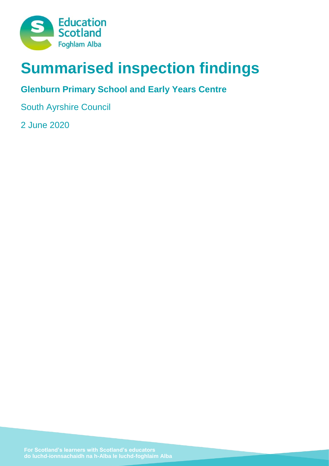

# **Summarised inspection findings**

# **Glenburn Primary School and Early Years Centre**

South Ayrshire Council

2 June 2020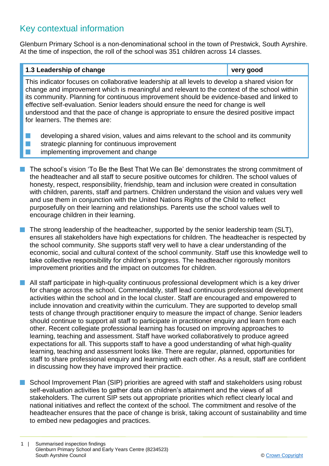## Key contextual information

Glenburn Primary School is a non-denominational school in the town of Prestwick, South Ayrshire. At the time of inspection, the roll of the school was 351 children across 14 classes.

## **1.3 Leadership of change very good** This indicator focuses on collaborative leadership at all levels to develop a shared vision for change and improvement which is meaningful and relevant to the context of the school within its community. Planning for continuous improvement should be evidence-based and linked to effective self-evaluation. Senior leaders should ensure the need for change is well understood and that the pace of change is appropriate to ensure the desired positive impact for learners. The themes are:  $\blacksquare$  developing a shared vision, values and aims relevant to the school and its community  $\blacksquare$  strategic planning for continuous improvement

- implementing improvement and change
- n The school's vision 'To Be the Best That We can Be' demonstrates the strong commitment of the headteacher and all staff to secure positive outcomes for children. The school values of honesty, respect, responsibility, friendship, team and inclusion were created in consultation with children, parents, staff and partners. Children understand the vision and values very well and use them in conjunction with the United Nations Rights of the Child to reflect purposefully on their learning and relationships. Parents use the school values well to encourage children in their learning.
- $\blacksquare$  The strong leadership of the headteacher, supported by the senior leadership team (SLT), ensures all stakeholders have high expectations for children. The headteacher is respected by the school community. She supports staff very well to have a clear understanding of the economic, social and cultural context of the school community. Staff use this knowledge well to take collective responsibility for children's progress. The headteacher rigorously monitors improvement priorities and the impact on outcomes for children.
- $\blacksquare$  All staff participate in high-quality continuous professional development which is a key driver for change across the school. Commendably, staff lead continuous professional development activities within the school and in the local cluster. Staff are encouraged and empowered to include innovation and creativity within the curriculum. They are supported to develop small tests of change through practitioner enguiry to measure the impact of change. Senior leaders should continue to support all staff to participate in practitioner enquiry and learn from each other. Recent collegiate professional learning has focused on improving approaches to learning, teaching and assessment. Staff have worked collaboratively to produce agreed expectations for all. This supports staff to have a good understanding of what high-quality learning, teaching and assessment looks like. There are regular, planned, opportunities for staff to share professional enquiry and learning with each other. As a result, staff are confident in discussing how they have improved their practice.
- School Improvement Plan (SIP) priorities are agreed with staff and stakeholders using robust self-evaluation activities to gather data on children's attainment and the views of all stakeholders. The current SIP sets out appropriate priorities which reflect clearly local and national initiatives and reflect the context of the school. The commitment and resolve of the headteacher ensures that the pace of change is brisk, taking account of sustainability and time to embed new pedagogies and practices.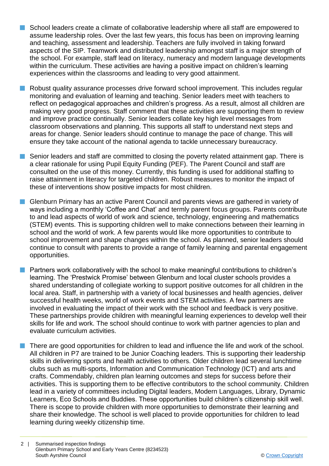- **n** School leaders create a climate of collaborative leadership where all staff are empowered to assume leadership roles. Over the last few years, this focus has been on improving learning and teaching, assessment and leadership. Teachers are fully involved in taking forward aspects of the SIP. Teamwork and distributed leadership amongst staff is a major strength of the school. For example, staff lead on literacy, numeracy and modern language developments within the curriculum. These activities are having a positive impact on children's learning experiences within the classrooms and leading to very good attainment.
- n Robust quality assurance processes drive forward school improvement. This includes regular monitoring and evaluation of learning and teaching. Senior leaders meet with teachers to reflect on pedagogical approaches and children's progress. As a result, almost all children are making very good progress. Staff comment that these activities are supporting them to review and improve practice continually. Senior leaders collate key high level messages from classroom observations and planning. This supports all staff to understand next steps and areas for change. Senior leaders should continue to manage the pace of change. This will ensure they take account of the national agenda to tackle unnecessary bureaucracy.
- **n** Senior leaders and staff are committed to closing the poverty related attainment gap. There is a clear rationale for using Pupil Equity Funding (PEF). The Parent Council and staff are consulted on the use of this money. Currently, this funding is used for additional staffing to raise attainment in literacy for targeted children. Robust measures to monitor the impact of these of interventions show positive impacts for most children.
- **n** Glenburn Primary has an active Parent Council and parents views are gathered in variety of ways including a monthly 'Coffee and Chat' and termly parent focus groups. Parents contribute to and lead aspects of world of work and science, technology, engineering and mathematics (STEM) events. This is supporting children well to make connections between their learning in school and the world of work. A few parents would like more opportunities to contribute to school improvement and shape changes within the school. As planned, senior leaders should continue to consult with parents to provide a range of family learning and parental engagement opportunities.
- **n** Partners work collaboratively with the school to make meaningful contributions to children's learning. The 'Prestwick Promise' between Glenburn and local cluster schools provides a shared understanding of collegiate working to support positive outcomes for all children in the local area. Staff, in partnership with a variety of local businesses and health agencies, deliver successful health weeks, world of work events and STEM activities. A few partners are involved in evaluating the impact of their work with the school and feedback is very positive. These partnerships provide children with meaningful learning experiences to develop well their skills for life and work. The school should continue to work with partner agencies to plan and evaluate curriculum activities.
- n There are good opportunities for children to lead and influence the life and work of the school. All children in P7 are trained to be Junior Coaching leaders. This is supporting their leadership skills in delivering sports and health activities to others. Older children lead several lunchtime clubs such as multi-sports, Information and Communication Technology (ICT) and arts and crafts. Commendably, children plan learning outcomes and steps for success before their activities. This is supporting them to be effective contributors to the school community. Children lead in a variety of committees including Digital leaders, Modern Languages, Library, Dynamic Learners, Eco Schools and Buddies. These opportunities build children's citizenship skill well. There is scope to provide children with more opportunities to demonstrate their learning and share their knowledge. The school is well placed to provide opportunities for children to lead learning during weekly citizenship time.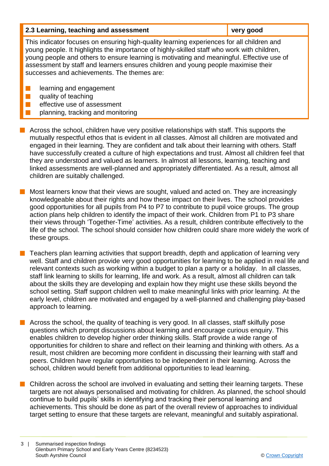| 2.3 Learning, teaching and assessment                                                                                                                                                                                                                                                                                                                                                                                    | very good |  |
|--------------------------------------------------------------------------------------------------------------------------------------------------------------------------------------------------------------------------------------------------------------------------------------------------------------------------------------------------------------------------------------------------------------------------|-----------|--|
| This indicator focuses on ensuring high-quality learning experiences for all children and<br>young people. It highlights the importance of highly-skilled staff who work with children,<br>young people and others to ensure learning is motivating and meaningful. Effective use of<br>assessment by staff and learners ensures children and young people maximise their<br>successes and achievements. The themes are: |           |  |
| learning and engagement<br>quality of teaching<br>effective use of assessment<br>planning, tracking and monitoring                                                                                                                                                                                                                                                                                                       |           |  |

 $\blacksquare$  Across the school, children have very positive relationships with staff. This supports the mutually respectful ethos that is evident in all classes. Almost all children are motivated and engaged in their learning. They are confident and talk about their learning with others. Staff have successfully created a culture of high expectations and trust. Almost all children feel that they are understood and valued as learners. In almost all lessons, learning, teaching and linked assessments are well-planned and appropriately differentiated. As a result, almost all children are suitably challenged.

Most learners know that their views are sought, valued and acted on. They are increasingly knowledgeable about their rights and how these impact on their lives. The school provides good opportunities for all pupils from P4 to P7 to contribute to pupil voice groups. The group action plans help children to identify the impact of their work. Children from P1 to P3 share their views through 'Together-Time' activities. As a result, children contribute effectively to the life of the school. The school should consider how children could share more widely the work of these groups.

n Teachers plan learning activities that support breadth, depth and application of learning very well. Staff and children provide very good opportunities for learning to be applied in real life and relevant contexts such as working within a budget to plan a party or a holiday. In all classes, staff link learning to skills for learning, life and work. As a result, almost all children can talk about the skills they are developing and explain how they might use these skills beyond the school setting. Staff support children well to make meaningful links with prior learning. At the early level, children are motivated and engaged by a well-planned and challenging play-based approach to learning.

n Across the school, the quality of teaching is very good. In all classes, staff skilfully pose questions which prompt discussions about learning and encourage curious enquiry. This enables children to develop higher order thinking skills. Staff provide a wide range of opportunities for children to share and reflect on their learning and thinking with others. As a result, most children are becoming more confident in discussing their learning with staff and peers. Children have regular opportunities to be independent in their learning. Across the school, children would benefit from additional opportunities to lead learning.

**n** Children across the school are involved in evaluating and setting their learning targets. These targets are not always personalised and motivating for children. As planned, the school should continue to build pupils' skills in identifying and tracking their personal learning and achievements. This should be done as part of the overall review of approaches to individual target setting to ensure that these targets are relevant, meaningful and suitably aspirational.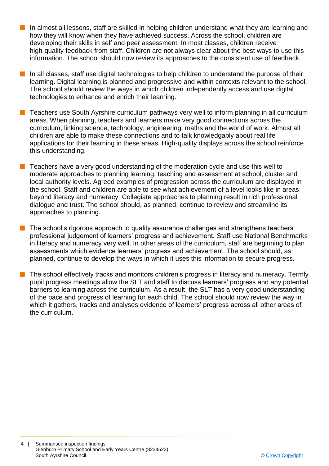- **n** In almost all lessons, staff are skilled in helping children understand what they are learning and how they will know when they have achieved success. Across the school, children are developing their skills in self and peer assessment. In most classes, children receive high-quality feedback from staff. Children are not always clear about the best ways to use this information. The school should now review its approaches to the consistent use of feedback.
- In all classes, staff use digital technologies to help children to understand the purpose of their learning. Digital learning is planned and progressive and within contexts relevant to the school. The school should review the ways in which children independently access and use digital technologies to enhance and enrich their learning.
- n Teachers use South Ayrshire curriculum pathways very well to inform planning in all curriculum areas. When planning, teachers and learners make very good connections across the curriculum, linking science, technology, engineering, maths and the world of work. Almost all children are able to make these connections and to talk knowledgably about real life applications for their learning in these areas. High-quality displays across the school reinforce this understanding.
- Teachers have a very good understanding of the moderation cycle and use this well to moderate approaches to planning learning, teaching and assessment at school, cluster and local authority levels. Agreed examples of progression across the curriculum are displayed in the school. Staff and children are able to see what achievement of a level looks like in areas beyond literacy and numeracy. Collegiate approaches to planning result in rich professional dialogue and trust. The school should, as planned, continue to review and streamline its approaches to planning.
- **n** The school's rigorous approach to quality assurance challenges and strengthens teachers' professional judgement of learners' progress and achievement. Staff use National Benchmarks in literacy and numeracy very well. In other areas of the curriculum, staff are beginning to plan assessments which evidence learners' progress and achievement. The school should, as planned, continue to develop the ways in which it uses this information to secure progress.
	- The school effectively tracks and monitors children's progress in literacy and numeracy. Termly pupil progress meetings allow the SLT and staff to discuss learners' progress and any potential barriers to learning across the curriculum. As a result, the SLT has a very good understanding of the pace and progress of learning for each child. The school should now review the way in which it gathers, tracks and analyses evidence of learners' progress across all other areas of the curriculum.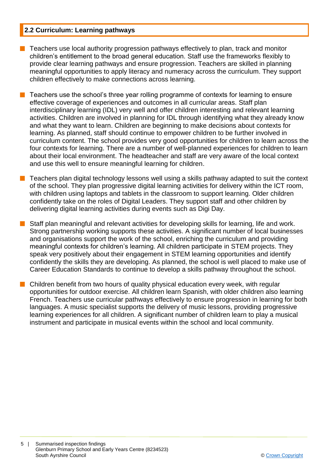#### **2.2 Curriculum: Learning pathways**

- n Teachers use local authority progression pathways effectively to plan, track and monitor children's entitlement to the broad general education. Staff use the frameworks flexibly to provide clear learning pathways and ensure progression. Teachers are skilled in planning meaningful opportunities to apply literacy and numeracy across the curriculum. They support children effectively to make connections across learning.
- n Teachers use the school's three year rolling programme of contexts for learning to ensure effective coverage of experiences and outcomes in all curricular areas. Staff plan interdisciplinary learning (IDL) very well and offer children interesting and relevant learning activities. Children are involved in planning for IDL through identifying what they already know and what they want to learn. Children are beginning to make decisions about contexts for learning. As planned, staff should continue to empower children to be further involved in curriculum content. The school provides very good opportunities for children to learn across the four contexts for learning. There are a number of well-planned experiences for children to learn about their local environment. The headteacher and staff are very aware of the local context and use this well to ensure meaningful learning for children.
- $\blacksquare$  Teachers plan digital technology lessons well using a skills pathway adapted to suit the context of the school. They plan progressive digital learning activities for delivery within the ICT room, with children using laptops and tablets in the classroom to support learning. Older children confidently take on the roles of Digital Leaders. They support staff and other children by delivering digital learning activities during events such as Digi Day.
- Staff plan meaningful and relevant activities for developing skills for learning, life and work. Strong partnership working supports these activities. A significant number of local businesses and organisations support the work of the school, enriching the curriculum and providing meaningful contexts for children's learning. All children participate in STEM projects. They speak very positively about their engagement in STEM learning opportunities and identify confidently the skills they are developing. As planned, the school is well placed to make use of Career Education Standards to continue to develop a skills pathway throughout the school.
- $\blacksquare$  Children benefit from two hours of quality physical education every week, with regular opportunities for outdoor exercise. All children learn Spanish, with older children also learning French. Teachers use curricular pathways effectively to ensure progression in learning for both languages. A music specialist supports the delivery of music lessons, providing progressive learning experiences for all children. A significant number of children learn to play a musical instrument and participate in musical events within the school and local community.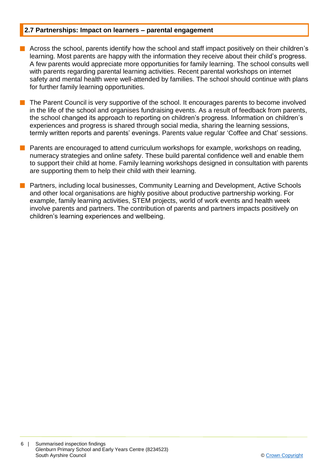#### **2.7 Partnerships: Impact on learners – parental engagement**

- **n** Across the school, parents identify how the school and staff impact positively on their children's learning. Most parents are happy with the information they receive about their child's progress. A few parents would appreciate more opportunities for family learning. The school consults well with parents regarding parental learning activities. Recent parental workshops on internet safety and mental health were well-attended by families. The school should continue with plans for further family learning opportunities.
- The Parent Council is very supportive of the school. It encourages parents to become involved in the life of the school and organises fundraising events. As a result of feedback from parents, the school changed its approach to reporting on children's progress. Information on children's experiences and progress is shared through social media, sharing the learning sessions, termly written reports and parents' evenings. Parents value regular 'Coffee and Chat' sessions.
- Parents are encouraged to attend curriculum workshops for example, workshops on reading, numeracy strategies and online safety. These build parental confidence well and enable them to support their child at home. Family learning workshops designed in consultation with parents are supporting them to help their child with their learning.
- n Partners, including local businesses, Community Learning and Development, Active Schools and other local organisations are highly positive about productive partnership working. For example, family learning activities, STEM projects, world of work events and health week involve parents and partners. The contribution of parents and partners impacts positively on children's learning experiences and wellbeing.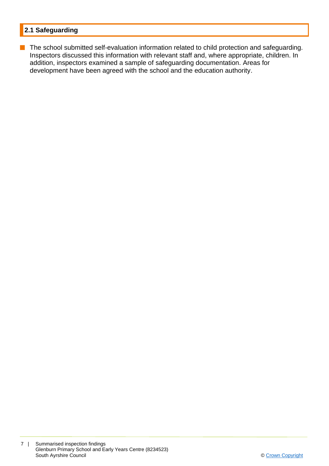### **2.1 Safeguarding**

**n** The school submitted self-evaluation information related to child protection and safeguarding. Inspectors discussed this information with relevant staff and, where appropriate, children. In addition, inspectors examined a sample of safeguarding documentation. Areas for development have been agreed with the school and the education authority.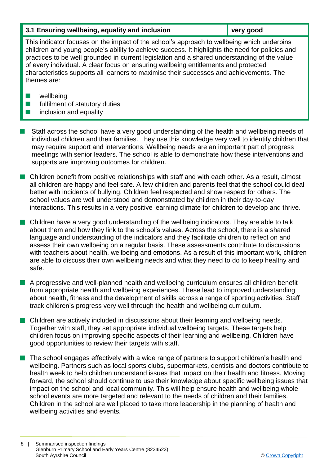#### **3.1 Ensuring wellbeing, equality and inclusion very good**

This indicator focuses on the impact of the school's approach to wellbeing which underpins children and young people's ability to achieve success. It highlights the need for policies and practices to be well grounded in current legislation and a shared understanding of the value of every individual. A clear focus on ensuring wellbeing entitlements and protected characteristics supports all learners to maximise their successes and achievements. The themes are:

- $\blacksquare$  wellbeing
- $\blacksquare$  fulfilment of statutory duties
- $\blacksquare$  inclusion and equality
- n Staff across the school have a very good understanding of the health and wellbeing needs of individual children and their families. They use this knowledge very well to identify children that may require support and interventions. Wellbeing needs are an important part of progress meetings with senior leaders. The school is able to demonstrate how these interventions and supports are improving outcomes for children.
- n Children benefit from positive relationships with staff and with each other. As a result, almost all children are happy and feel safe. A few children and parents feel that the school could deal better with incidents of bullying. Children feel respected and show respect for others. The school values are well understood and demonstrated by children in their day-to-day interactions. This results in a very positive learning climate for children to develop and thrive.
- n Children have a very good understanding of the wellbeing indicators. They are able to talk about them and how they link to the school's values. Across the school, there is a shared language and understanding of the indicators and they facilitate children to reflect on and assess their own wellbeing on a regular basis. These assessments contribute to discussions with teachers about health, wellbeing and emotions. As a result of this important work, children are able to discuss their own wellbeing needs and what they need to do to keep healthy and safe.
- **n** A progressive and well-planned health and wellbeing curriculum ensures all children benefit from appropriate health and wellbeing experiences. These lead to improved understanding about health, fitness and the development of skills across a range of sporting activities. Staff track children's progress very well through the health and wellbeing curriculum.
- $\blacksquare$  Children are actively included in discussions about their learning and wellbeing needs. Together with staff, they set appropriate individual wellbeing targets. These targets help children focus on improving specific aspects of their learning and wellbeing. Children have good opportunities to review their targets with staff.
- $\blacksquare$  The school engages effectively with a wide range of partners to support children's health and wellbeing. Partners such as local sports clubs, supermarkets, dentists and doctors contribute to health week to help children understand issues that impact on their health and fitness. Moving forward, the school should continue to use their knowledge about specific wellbeing issues that impact on the school and local community. This will help ensure health and wellbeing whole school events are more targeted and relevant to the needs of children and their families. Children in the school are well placed to take more leadership in the planning of health and wellbeing activities and events.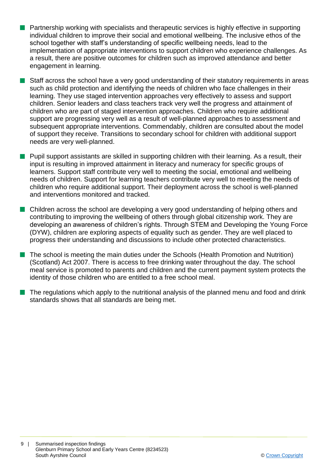- **Partnership working with specialists and therapeutic services is highly effective in supporting** individual children to improve their social and emotional wellbeing. The inclusive ethos of the school together with staff's understanding of specific wellbeing needs, lead to the implementation of appropriate interventions to support children who experience challenges. As a result, there are positive outcomes for children such as improved attendance and better engagement in learning.
- **Staff across the school have a very good understanding of their statutory requirements in areas** such as child protection and identifying the needs of children who face challenges in their learning. They use staged intervention approaches very effectively to assess and support children. Senior leaders and class teachers track very well the progress and attainment of children who are part of staged intervention approaches. Children who require additional support are progressing very well as a result of well-planned approaches to assessment and subsequent appropriate interventions. Commendably, children are consulted about the model of support they receive. Transitions to secondary school for children with additional support needs are very well-planned.
- **n** Pupil support assistants are skilled in supporting children with their learning. As a result, their input is resulting in improved attainment in literacy and numeracy for specific groups of learners. Support staff contribute very well to meeting the social, emotional and wellbeing needs of children. Support for learning teachers contribute very well to meeting the needs of children who require additional support. Their deployment across the school is well-planned and interventions monitored and tracked.
- Children across the school are developing a very good understanding of helping others and contributing to improving the wellbeing of others through global citizenship work. They are developing an awareness of children's rights. Through STEM and Developing the Young Force (DYW), children are exploring aspects of equality such as gender. They are well placed to progress their understanding and discussions to include other protected characteristics.
- The school is meeting the main duties under the Schools (Health Promotion and Nutrition) (Scotland) Act 2007. There is access to free drinking water throughout the day. The school meal service is promoted to parents and children and the current payment system protects the identity of those children who are entitled to a free school meal.
- The regulations which apply to the nutritional analysis of the planned menu and food and drink standards shows that all standards are being met.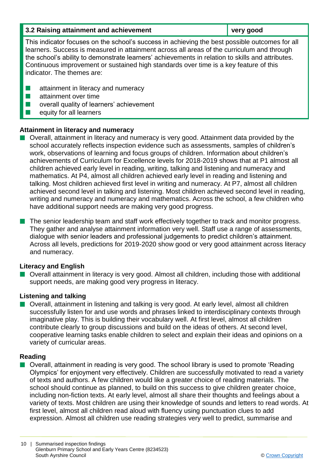| 3.2 Raising attainment and achievement                                                                                                                                                                                                                                                                                                                                                                                  | very good |  |
|-------------------------------------------------------------------------------------------------------------------------------------------------------------------------------------------------------------------------------------------------------------------------------------------------------------------------------------------------------------------------------------------------------------------------|-----------|--|
| This indicator focuses on the school's success in achieving the best possible outcomes for all<br>learners. Success is measured in attainment across all areas of the curriculum and through<br>the school's ability to demonstrate learners' achievements in relation to skills and attributes.<br>Continuous improvement or sustained high standards over time is a key feature of this<br>indicator. The themes are: |           |  |
| attainment in literacy and numeracy<br>attainment over time<br>overall quality of learners' achievement<br>equity for all learners                                                                                                                                                                                                                                                                                      |           |  |

#### **Attainment in literacy and numeracy**

**Didden Interally** Overall, attainment in literacy and numeracy is very good. Attainment data provided by the school accurately reflects inspection evidence such as assessments, samples of children's work, observations of learning and focus groups of children. Information about children's achievements of Curriculum for Excellence levels for 2018-2019 shows that at P1 almost all children achieved early level in reading, writing, talking and listening and numeracy and mathematics. At P4, almost all children achieved early level in reading and listening and talking. Most children achieved first level in writing and numeracy. At P7, almost all children achieved second level in talking and listening. Most children achieved second level in reading, writing and numeracy and numeracy and mathematics. Across the school, a few children who have additional support needs are making very good progress.

 $\blacksquare$  The senior leadership team and staff work effectively together to track and monitor progress. They gather and analyse attainment information very well. Staff use a range of assessments, dialogue with senior leaders and professional judgements to predict children's attainment. Across all levels, predictions for 2019-2020 show good or very good attainment across literacy and numeracy.

#### **Literacy and English**

■ Overall attainment in literacy is very good. Almost all children, including those with additional support needs, are making good very progress in literacy.

#### **Listening and talking**

 $\blacksquare$  Overall, attainment in listening and talking is very good. At early level, almost all children successfully listen for and use words and phrases linked to interdisciplinary contexts through imaginative play. This is building their vocabulary well. At first level, almost all children contribute clearly to group discussions and build on the ideas of others. At second level, cooperative learning tasks enable children to select and explain their ideas and opinions on a variety of curricular areas.

#### **Reading**

■ Overall, attainment in reading is very good. The school library is used to promote 'Reading Olympics' for enjoyment very effectively. Children are successfully motivated to read a variety of texts and authors. A few children would like a greater choice of reading materials. The school should continue as planned, to build on this success to give children greater choice, including non-fiction texts. At early level, almost all share their thoughts and feelings about a variety of texts. Most children are using their knowledge of sounds and letters to read words. At first level, almost all children read aloud with fluency using punctuation clues to add expression. Almost all children use reading strategies very well to predict, summarise and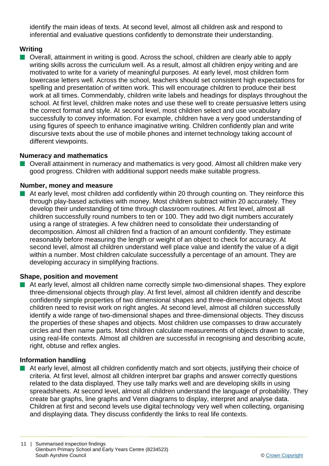identify the main ideas of texts. At second level, almost all children ask and respond to inferential and evaluative questions confidently to demonstrate their understanding.

#### **Writing**

■ Overall, attainment in writing is good. Across the school, children are clearly able to apply writing skills across the curriculum well. As a result, almost all children enjoy writing and are motivated to write for a variety of meaningful purposes. At early level, most children form lowercase letters well. Across the school, teachers should set consistent high expectations for spelling and presentation of written work. This will encourage children to produce their best work at all times. Commendably, children write labels and headings for displays throughout the school. At first level, children make notes and use these well to create persuasive letters using the correct format and style. At second level, most children select and use vocabulary successfully to convey information. For example, children have a very good understanding of using figures of speech to enhance imaginative writing. Children confidently plan and write discursive texts about the use of mobile phones and internet technology taking account of different viewpoints.

#### **Numeracy and mathematics**

■ Overall attainment in numeracy and mathematics is very good. Almost all children make very good progress. Children with additional support needs make suitable progress.

#### **Number, money and measure**

 $\blacksquare$  At early level, most children add confidently within 20 through counting on. They reinforce this through play-based activities with money. Most children subtract within 20 accurately. They develop their understanding of time through classroom routines. At first level, almost all children successfully round numbers to ten or 100. They add two digit numbers accurately using a range of strategies. A few children need to consolidate their understanding of decomposition. Almost all children find a fraction of an amount confidently. They estimate reasonably before measuring the length or weight of an object to check for accuracy. At second level, almost all children understand well place value and identify the value of a digit within a number. Most children calculate successfully a percentage of an amount. They are developing accuracy in simplifying fractions.

#### **Shape, position and movement**

 $\blacksquare$  At early level, almost all children name correctly simple two-dimensional shapes. They explore three-dimensional objects through play. At first level, almost all children identify and describe confidently simple properties of two dimensional shapes and three-dimensional objects. Most children need to revisit work on right angles. At second level, almost all children successfully identify a wide range of two-dimensional shapes and three-dimensional objects. They discuss the properties of these shapes and objects. Most children use compasses to draw accurately circles and then name parts. Most children calculate measurements of objects drawn to scale, using real-life contexts. Almost all children are successful in recognising and describing acute, right, obtuse and reflex angles.

#### **Information handling**

 $\blacksquare$  At early level, almost all children confidently match and sort objects, justifying their choice of criteria. At first level, almost all children interpret bar graphs and answer correctly questions related to the data displayed. They use tally marks well and are developing skills in using spreadsheets. At second level, almost all children understand the language of probability. They create bar graphs, line graphs and Venn diagrams to display, interpret and analyse data. Children at first and second levels use digital technology very well when collecting, organising and displaying data. They discuss confidently the links to real life contexts.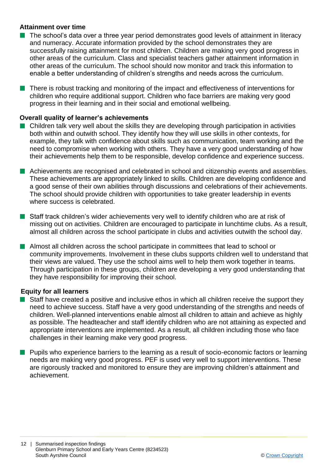#### **Attainment over time**

- **n** The school's data over a three year period demonstrates good levels of attainment in literacy and numeracy. Accurate information provided by the school demonstrates they are successfully raising attainment for most children. Children are making very good progress in other areas of the curriculum. Class and specialist teachers gather attainment information in other areas of the curriculum. The school should now monitor and track this information to enable a better understanding of children's strengths and needs across the curriculum.
- $\blacksquare$  There is robust tracking and monitoring of the impact and effectiveness of interventions for children who require additional support. Children who face barriers are making very good progress in their learning and in their social and emotional wellbeing.

#### **Overall quality of learner's achievements**

- $\blacksquare$  Children talk very well about the skills they are developing through participation in activities both within and outwith school. They identify how they will use skills in other contexts, for example, they talk with confidence about skills such as communication, team working and the need to compromise when working with others. They have a very good understanding of how their achievements help them to be responsible, develop confidence and experience success.
- **n** Achievements are recognised and celebrated in school and citizenship events and assemblies. These achievements are appropriately linked to skills. Children are developing confidence and a good sense of their own abilities through discussions and celebrations of their achievements. The school should provide children with opportunities to take greater leadership in events where success is celebrated.
- Staff track children's wider achievements very well to identify children who are at risk of missing out on activities. Children are encouraged to participate in lunchtime clubs. As a result, almost all children across the school participate in clubs and activities outwith the school day.
- **n** Almost all children across the school participate in committees that lead to school or community improvements. Involvement in these clubs supports children well to understand that their views are valued. They use the school aims well to help them work together in teams. Through participation in these groups, children are developing a very good understanding that they have responsibility for improving their school.

#### **Equity for all learners**

- $\blacksquare$  Staff have created a positive and inclusive ethos in which all children receive the support they need to achieve success. Staff have a very good understanding of the strengths and needs of children. Well-planned interventions enable almost all children to attain and achieve as highly as possible. The headteacher and staff identify children who are not attaining as expected and appropriate interventions are implemented. As a result, all children including those who face challenges in their learning make very good progress.
- **n** Pupils who experience barriers to the learning as a result of socio-economic factors or learning needs are making very good progress. PEF is used very well to support interventions. These are rigorously tracked and monitored to ensure they are improving children's attainment and achievement.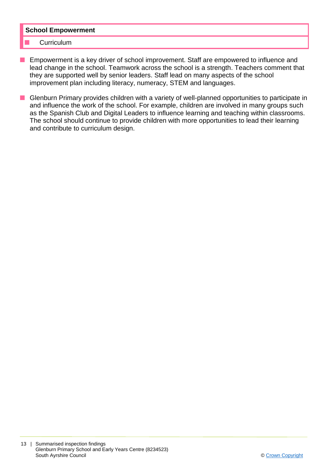#### **School Empowerment**

#### **Curriculum**

- **n** Empowerment is a key driver of school improvement. Staff are empowered to influence and lead change in the school. Teamwork across the school is a strength. Teachers comment that they are supported well by senior leaders. Staff lead on many aspects of the school improvement plan including literacy, numeracy, STEM and languages.
- Glenburn Primary provides children with a variety of well-planned opportunities to participate in and influence the work of the school. For example, children are involved in many groups such as the Spanish Club and Digital Leaders to influence learning and teaching within classrooms. The school should continue to provide children with more opportunities to lead their learning and contribute to curriculum design.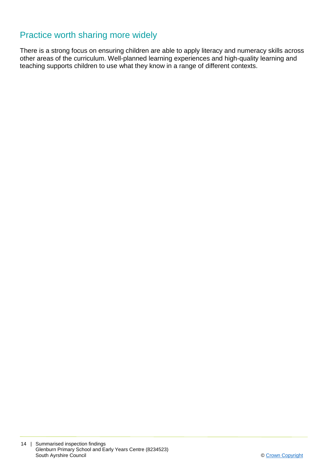## Practice worth sharing more widely

There is a strong focus on ensuring children are able to apply literacy and numeracy skills across other areas of the curriculum. Well-planned learning experiences and high-quality learning and teaching supports children to use what they know in a range of different contexts.